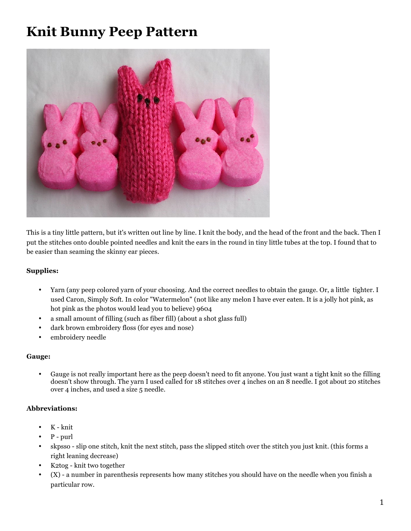## **Knit Bunny Peep Pattern**



This is a tiny little pattern, but it's written out line by line. I knit the body, and the head of the front and the back. Then I put the stitches onto double pointed needles and knit the ears in the round in tiny little tubes at the top. I found that to be easier than seaming the skinny ear pieces.

## **Supplies:**

- Yarn (any peep colored yarn of your choosing. And the correct needles to obtain the gauge. Or, a little tighter. I used Caron, Simply Soft. In color "Watermelon" (not like any melon I have ever eaten. It is a jolly hot pink, as hot pink as the photos would lead you to believe) 9604
- a small amount of filling (such as fiber fill) (about a shot glass full)
- dark brown embroidery floss (for eyes and nose)
- embroidery needle

## **Gauge:**

• Gauge is not really important here as the peep doesn't need to fit anyone. You just want a tight knit so the filling doesn't show through. The yarn I used called for 18 stitches over 4 inches on an 8 needle. I got about 20 stitches over 4 inches, and used a size 5 needle.

## **Abbreviations:**

- K knit
- $\cdot$  P purl
- skpsso slip one stitch, knit the next stitch, pass the slipped stitch over the stitch you just knit. (this forms a right leaning decrease)
- K2tog knit two together
- (X) a number in parenthesis represents how many stitches you should have on the needle when you finish a particular row.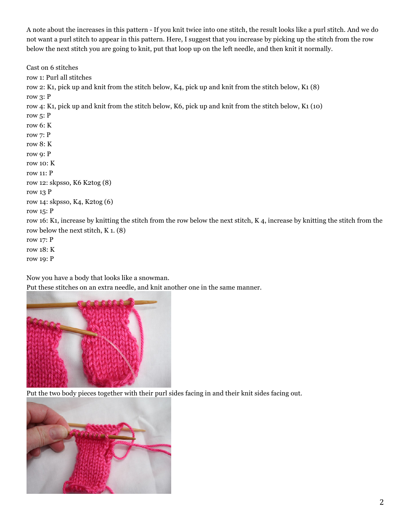A note about the increases in this pattern - If you knit twice into one stitch, the result looks like a purl stitch. And we do not want a purl stitch to appear in this pattern. Here, I suggest that you increase by picking up the stitch from the row below the next stitch you are going to knit, put that loop up on the left needle, and then knit it normally.

Cast on 6 stitches row 1: Purl all stitches row 2: K1, pick up and knit from the stitch below, K4, pick up and knit from the stitch below, K1 (8) row 3: P row 4: K1, pick up and knit from the stitch below, K6, pick up and knit from the stitch below, K1 (10) row 5: P row 6: K row 7: P row 8: K row 9: P row 10: K row 11: P row 12: skpsso, K6 K2tog (8) row 13 P row 14: skpsso, K4, K2tog (6) row 15: P row 16: K1, increase by knitting the stitch from the row below the next stitch, K 4, increase by knitting the stitch from the row below the next stitch, K 1. (8) row 17: P row 18: K row 19: P

Now you have a body that looks like a snowman.

Put these stitches on an extra needle, and knit another one in the same manner.



Put the two body pieces together with their purl sides facing in and their knit sides facing out.